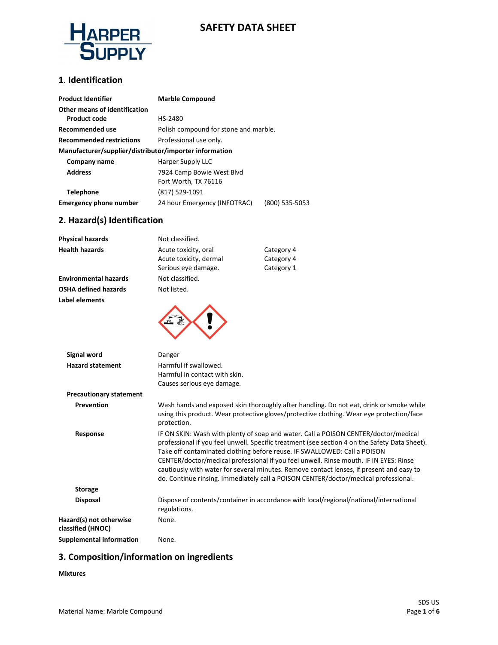

## **SAFETY DATA SHEET**

#### **1**. **Identification**

| <b>Product Identifier</b>                              | <b>Marble Compound</b>                         |
|--------------------------------------------------------|------------------------------------------------|
| Other means of identification                          |                                                |
| <b>Product code</b>                                    | HS-2480                                        |
| Recommended use                                        | Polish compound for stone and marble.          |
| <b>Recommended restrictions</b>                        | Professional use only.                         |
| Manufacturer/supplier/distributor/importer information |                                                |
| Company name                                           | Harper Supply LLC                              |
| <b>Address</b>                                         | 7924 Camp Bowie West Blvd                      |
|                                                        | Fort Worth, TX 76116                           |
| <b>Telephone</b>                                       | (817) 529-1091                                 |
| <b>Emergency phone number</b>                          | 24 hour Emergency (INFOTRAC)<br>(800) 535-5053 |

#### **2. Hazard(s) Identification**

| Physical hazards               | Not classified.               |                                                                                                                                                                                     |  |
|--------------------------------|-------------------------------|-------------------------------------------------------------------------------------------------------------------------------------------------------------------------------------|--|
| <b>Health hazards</b>          | Acute toxicity, oral          | Category 4                                                                                                                                                                          |  |
|                                | Acute toxicity, dermal        | Category 4                                                                                                                                                                          |  |
|                                | Serious eye damage.           | Category 1                                                                                                                                                                          |  |
| <b>Environmental hazards</b>   | Not classified.               |                                                                                                                                                                                     |  |
| OSHA defined hazards           | Not listed.                   |                                                                                                                                                                                     |  |
| Label elements                 |                               |                                                                                                                                                                                     |  |
| <b>Signal word</b>             | Danger                        |                                                                                                                                                                                     |  |
| <b>Hazard statement</b>        | Harmful if swallowed.         |                                                                                                                                                                                     |  |
|                                | Harmful in contact with skin. |                                                                                                                                                                                     |  |
|                                | Causes serious eye damage.    |                                                                                                                                                                                     |  |
| <b>Precautionary statement</b> |                               |                                                                                                                                                                                     |  |
| Prevention                     | protection.                   | Wash hands and exposed skin thoroughly after handling. Do not eat, drink or smoke while<br>using this product. Wear protective gloves/protective clothing. Wear eye protection/face |  |
| Response                       |                               | IF ON SKIN: Wash with plenty of soap and water. Call a POISON CENTER/doctor/medical                                                                                                 |  |

**III a POISON CENTER/doctor/medical** professional if you feel unwell. Specific treatment (see section 4 on the Safety Data Sheet). Take off contaminated clothing before reuse. IF SWALLOWED: Call a POISON CENTER/doctor/medical professional if you feel unwell. Rinse mouth. IF IN EYES: Rinse cautiously with water for several minutes. Remove contact lenses, if present and easy to do. Continue rinsing. Immediately call a POISON CENTER/doctor/medical professional.  **Storage Disposal** Dispose of contents/container in accordance with local/regional/national/international regulations. None.

**Hazard(s) not otherwise classified (HNOC) Supplemental information** None.

### **3. Composition/information on ingredients**

#### **Mixtures**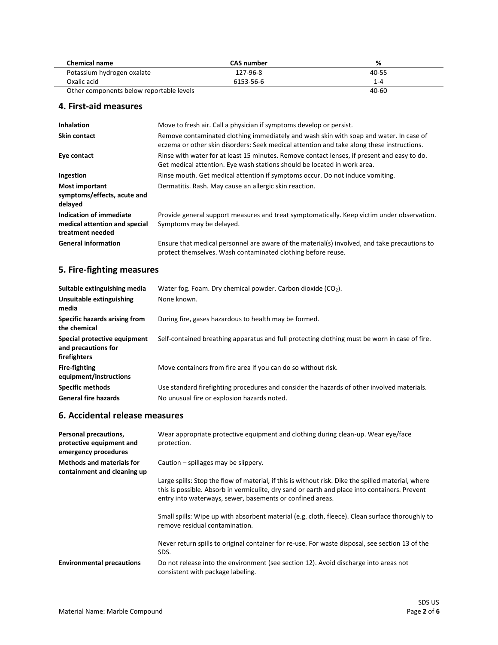| <b>CAS number</b>                        | %         |
|------------------------------------------|-----------|
| 127-96-8                                 | 40-55     |
| 6153-56-6                                | 1-4       |
| Other components below reportable levels | $40 - 60$ |
|                                          |           |

#### **4. First-aid measures**

| <b>Inhalation</b>                                                            | Move to fresh air. Call a physician if symptoms develop or persist.                                                                                                                 |
|------------------------------------------------------------------------------|-------------------------------------------------------------------------------------------------------------------------------------------------------------------------------------|
| <b>Skin contact</b>                                                          | Remove contaminated clothing immediately and wash skin with soap and water. In case of<br>eczema or other skin disorders: Seek medical attention and take along these instructions. |
| Eye contact                                                                  | Rinse with water for at least 15 minutes. Remove contact lenses, if present and easy to do.<br>Get medical attention. Eye wash stations should be located in work area.             |
| Ingestion                                                                    | Rinse mouth. Get medical attention if symptoms occur. Do not induce vomiting.                                                                                                       |
| <b>Most important</b><br>symptoms/effects, acute and<br>delayed              | Dermatitis. Rash. May cause an allergic skin reaction.                                                                                                                              |
| Indication of immediate<br>medical attention and special<br>treatment needed | Provide general support measures and treat symptomatically. Keep victim under observation.<br>Symptoms may be delayed.                                                              |
| <b>General information</b>                                                   | Ensure that medical personnel are aware of the material(s) involved, and take precautions to<br>protect themselves. Wash contaminated clothing before reuse.                        |

# **5. Fire-fighting measures**

| Suitable extinguishing media                                        | Water fog. Foam. Dry chemical powder. Carbon dioxide (CO <sub>2</sub> ).                      |
|---------------------------------------------------------------------|-----------------------------------------------------------------------------------------------|
| Unsuitable extinguishing<br>media                                   | None known.                                                                                   |
| Specific hazards arising from<br>the chemical                       | During fire, gases hazardous to health may be formed.                                         |
| Special protective equipment<br>and precautions for<br>firefighters | Self-contained breathing apparatus and full protecting clothing must be worn in case of fire. |
| Fire-fighting<br>equipment/instructions                             | Move containers from fire area if you can do so without risk.                                 |
| <b>Specific methods</b>                                             | Use standard firefighting procedures and consider the hazards of other involved materials.    |
| <b>General fire hazards</b>                                         | No unusual fire or explosion hazards noted.                                                   |

### **6. Accidental release measures**

| Personal precautions,<br>protective equipment and<br>emergency procedures | Wear appropriate protective equipment and clothing during clean-up. Wear eye/face<br>protection.                                                                                                                                            |
|---------------------------------------------------------------------------|---------------------------------------------------------------------------------------------------------------------------------------------------------------------------------------------------------------------------------------------|
| <b>Methods and materials for</b><br>containment and cleaning up           | Caution – spillages may be slippery.<br>Large spills: Stop the flow of material, if this is without risk. Dike the spilled material, where<br>this is possible. Absorb in vermiculite, dry sand or earth and place into containers. Prevent |
|                                                                           | entry into waterways, sewer, basements or confined areas.<br>Small spills: Wipe up with absorbent material (e.g. cloth, fleece). Clean surface thoroughly to<br>remove residual contamination.                                              |
|                                                                           | Never return spills to original container for re-use. For waste disposal, see section 13 of the<br>SDS.                                                                                                                                     |
| <b>Environmental precautions</b>                                          | Do not release into the environment (see section 12). Avoid discharge into areas not<br>consistent with package labeling.                                                                                                                   |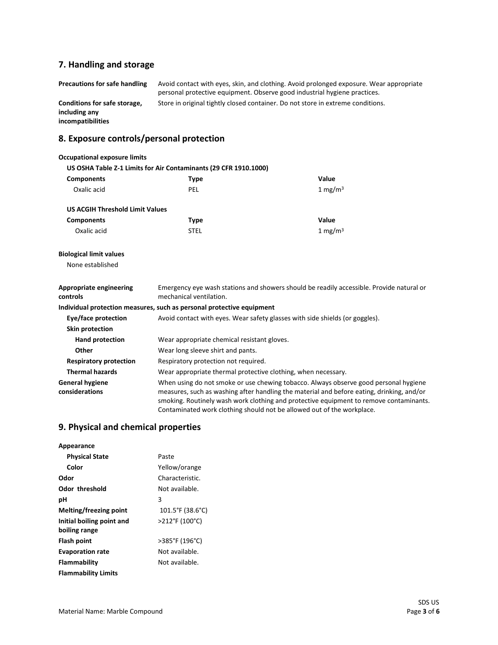# **7. Handling and storage**

| <b>Precautions for safe handling</b>                               | Avoid contact with eyes, skin, and clothing. Avoid prolonged exposure. Wear appropriate<br>personal protective equipment. Observe good industrial hygiene practices. |
|--------------------------------------------------------------------|----------------------------------------------------------------------------------------------------------------------------------------------------------------------|
| Conditions for safe storage,<br>including any<br>incompatibilities | Store in original tightly closed container. Do not store in extreme conditions.                                                                                      |
| 8. Exposure controls/personal protection                           |                                                                                                                                                                      |

| <b>Occupational exposure limits</b>      |                                                                       |                                                                                                                                                                                                                                                                                                                                                       |
|------------------------------------------|-----------------------------------------------------------------------|-------------------------------------------------------------------------------------------------------------------------------------------------------------------------------------------------------------------------------------------------------------------------------------------------------------------------------------------------------|
|                                          | US OSHA Table Z-1 Limits for Air Contaminants (29 CFR 1910.1000)      |                                                                                                                                                                                                                                                                                                                                                       |
| <b>Components</b>                        | <b>Type</b>                                                           | Value                                                                                                                                                                                                                                                                                                                                                 |
| Oxalic acid                              | <b>PEL</b>                                                            | 1 mg/m $3$                                                                                                                                                                                                                                                                                                                                            |
| <b>US ACGIH Threshold Limit Values</b>   |                                                                       |                                                                                                                                                                                                                                                                                                                                                       |
| <b>Components</b>                        | <b>Type</b>                                                           | Value                                                                                                                                                                                                                                                                                                                                                 |
| Oxalic acid                              | <b>STEL</b>                                                           | $1 \text{ mg/m}^3$                                                                                                                                                                                                                                                                                                                                    |
| <b>Biological limit values</b>           |                                                                       |                                                                                                                                                                                                                                                                                                                                                       |
| None established                         |                                                                       |                                                                                                                                                                                                                                                                                                                                                       |
| Appropriate engineering<br>controls      | mechanical ventilation.                                               | Emergency eye wash stations and showers should be readily accessible. Provide natural or                                                                                                                                                                                                                                                              |
|                                          | Individual protection measures, such as personal protective equipment |                                                                                                                                                                                                                                                                                                                                                       |
| Eye/face protection                      |                                                                       | Avoid contact with eyes. Wear safety glasses with side shields (or goggles).                                                                                                                                                                                                                                                                          |
| Skin protection                          |                                                                       |                                                                                                                                                                                                                                                                                                                                                       |
| Hand protection                          | Wear appropriate chemical resistant gloves.                           |                                                                                                                                                                                                                                                                                                                                                       |
| Other                                    | Wear long sleeve shirt and pants.                                     |                                                                                                                                                                                                                                                                                                                                                       |
| <b>Respiratory protection</b>            | Respiratory protection not required.                                  |                                                                                                                                                                                                                                                                                                                                                       |
| <b>Thermal hazards</b>                   | Wear appropriate thermal protective clothing, when necessary.         |                                                                                                                                                                                                                                                                                                                                                       |
| <b>General hygiene</b><br>considerations |                                                                       | When using do not smoke or use chewing tobacco. Always observe good personal hygiene<br>measures, such as washing after handling the material and before eating, drinking, and/or<br>smoking. Routinely wash work clothing and protective equipment to remove contaminants.<br>Contaminated work clothing should not be allowed out of the workplace. |

## **9. Physical and chemical properties**

| Appearance                                 |                  |
|--------------------------------------------|------------------|
| <b>Physical State</b>                      | Paste            |
| Color                                      | Yellow/orange    |
| Odor                                       | Characteristic.  |
| Odor threshold                             | Not available.   |
| рH                                         | 3                |
| Melting/freezing point                     | 101.5°F (38.6°C) |
| Initial boiling point and<br>boiling range | >212°F (100°C)   |
| Flash point                                | >385°F (196°C)   |
| <b>Evaporation rate</b>                    | Not available.   |
| Flammability                               | Not available.   |
| <b>Flammability Limits</b>                 |                  |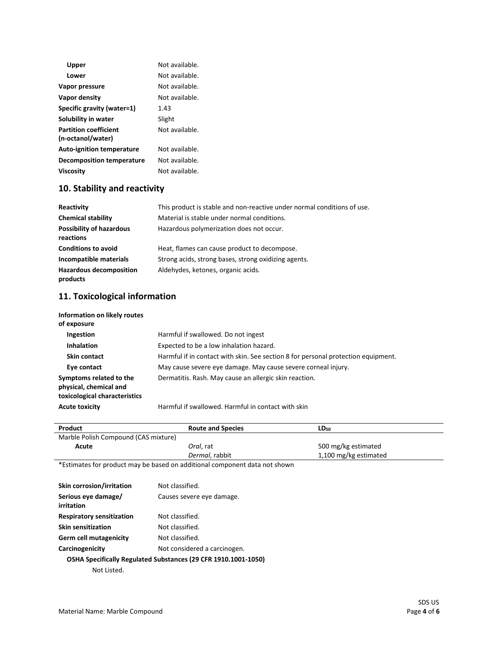| Upper                                             | Not available. |
|---------------------------------------------------|----------------|
| Lower                                             | Not available. |
| Vapor pressure                                    | Not available. |
| Vapor density                                     | Not available. |
| Specific gravity (water=1)                        | 1.43           |
| Solubility in water                               | Slight         |
| <b>Partition coefficient</b><br>(n-octanol/water) | Not available. |
| <b>Auto-ignition temperature</b>                  | Not available. |
| Decomposition temperature                         | Not available. |
| <b>Viscosity</b>                                  | Not available. |

### **10. Stability and reactivity**

| Reactivity                                   | This product is stable and non-reactive under normal conditions of use. |
|----------------------------------------------|-------------------------------------------------------------------------|
| <b>Chemical stability</b>                    | Material is stable under normal conditions.                             |
| <b>Possibility of hazardous</b><br>reactions | Hazardous polymerization does not occur.                                |
| <b>Conditions to avoid</b>                   | Heat, flames can cause product to decompose.                            |
| Incompatible materials                       | Strong acids, strong bases, strong oxidizing agents.                    |
| <b>Hazardous decomposition</b><br>products   | Aldehydes, ketones, organic acids.                                      |

### **11. Toxicological information**

| Information on likely routes<br>of exposure                                        |                                                                                   |
|------------------------------------------------------------------------------------|-----------------------------------------------------------------------------------|
| Ingestion                                                                          | Harmful if swallowed. Do not ingest                                               |
| <b>Inhalation</b>                                                                  | Expected to be a low inhalation hazard.                                           |
| Skin contact                                                                       | Harmful if in contact with skin. See section 8 for personal protection equipment. |
| Eye contact                                                                        | May cause severe eye damage. May cause severe corneal injury.                     |
| Symptoms related to the<br>physical, chemical and<br>toxicological characteristics | Dermatitis. Rash. May cause an allergic skin reaction.                            |

**Acute toxicity** Harmful if swallowed. Harmful in contact with skin

| Product                              | <b>Route and Species</b>                                                   | $LD_{50}$             |
|--------------------------------------|----------------------------------------------------------------------------|-----------------------|
| Marble Polish Compound (CAS mixture) |                                                                            |                       |
| Acute                                | Oral, rat                                                                  | 500 mg/kg estimated   |
|                                      | Dermal, rabbit                                                             | 1,100 mg/kg estimated |
|                                      | *Estimates for product may be based on additional component data not shown |                       |
| <b>Skin corrosion/irritation</b>     | Not classified.                                                            |                       |
| Serious eye damage/<br>irritation    | Causes severe eye damage.                                                  |                       |
| <b>Respiratory sensitization</b>     | Not classified.                                                            |                       |
| <b>Skin sensitization</b>            | Not classified.                                                            |                       |
| <b>Germ cell mutagenicity</b>        | Not classified.                                                            |                       |
| Carcinogenicity                      | Not considered a carcinogen.                                               |                       |
|                                      | OSHA Specifically Regulated Substances (29 CFR 1910.1001-1050)             |                       |
| Not Listed.                          |                                                                            |                       |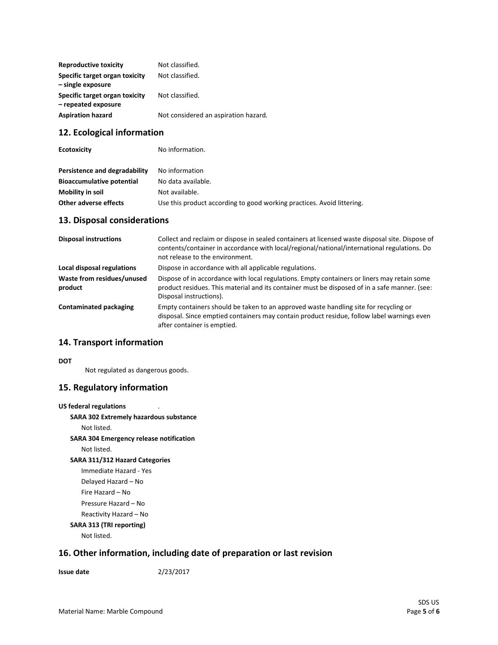| <b>Reproductive toxicity</b>                          | Not classified.                      |
|-------------------------------------------------------|--------------------------------------|
| Specific target organ toxicity<br>- single exposure   | Not classified.                      |
| Specific target organ toxicity<br>- repeated exposure | Not classified.                      |
| <b>Aspiration hazard</b>                              | Not considered an aspiration hazard. |

### **12. Ecological information**

| <b>Ecotoxicity</b>               | No information.                                                        |  |
|----------------------------------|------------------------------------------------------------------------|--|
| Persistence and degradability    | No information                                                         |  |
| <b>Bioaccumulative potential</b> | No data available.                                                     |  |
| Mobility in soil                 | Not available.                                                         |  |
| <b>Other adverse effects</b>     | Use this product according to good working practices. Avoid littering. |  |

### **13. Disposal considerations**

| <b>Disposal instructions</b>          | Collect and reclaim or dispose in sealed containers at licensed waste disposal site. Dispose of<br>contents/container in accordance with local/regional/national/international regulations. Do<br>not release to the environment. |
|---------------------------------------|-----------------------------------------------------------------------------------------------------------------------------------------------------------------------------------------------------------------------------------|
| Local disposal regulations            | Dispose in accordance with all applicable regulations.                                                                                                                                                                            |
| Waste from residues/unused<br>product | Dispose of in accordance with local regulations. Empty containers or liners may retain some<br>product residues. This material and its container must be disposed of in a safe manner. (see:<br>Disposal instructions).           |
| Contaminated packaging                | Empty containers should be taken to an approved waste handling site for recycling or<br>disposal. Since emptied containers may contain product residue, follow label warnings even<br>after container is emptied.                 |

#### **14. Transport information**

**DOT**

Not regulated as dangerous goods.

### **15. Regulatory information**

```
US federal regulations
SARA 302 Extremely hazardous substance
    Not listed.
SARA 304 Emergency release notification
    Not listed.
SARA 311/312 Hazard Categories
    Immediate Hazard - Yes
    Delayed Hazard – No
    Fire Hazard – No
    Pressure Hazard – No
    Reactivity Hazard – No 
SARA 313 (TRI reporting)
    Not listed.
```
### **16. Other information, including date of preparation or last revision**

#### **Issue date** 2/23/2017